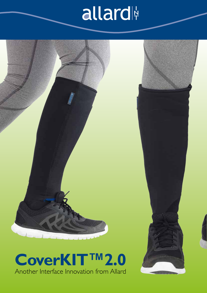# allard



### **CoverKIT™2.0** Another Interface Innovation from Allard